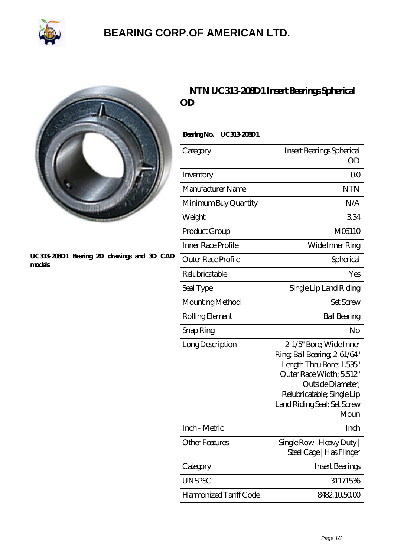

## **[BEARING CORP.OF AMERICAN LTD.](https://2urt-utz.de)**



#### **[UC313-208D1 Bearing 2D drawings and 3D CAD](https://2urt-utz.de/pic-262529.html) [models](https://2urt-utz.de/pic-262529.html)**

## **[NTN UC313-208D1 Insert Bearings Spherical](https://2urt-utz.de/bz-262529-ntn-uc313-208d1-insert-bearings-spherical-od.html) [OD](https://2urt-utz.de/bz-262529-ntn-uc313-208d1-insert-bearings-spherical-od.html)**

### **Bearing No. UC313-208D1**

| Category               | Insert Bearings Spherical<br>OD                                                                                                                                                                          |
|------------------------|----------------------------------------------------------------------------------------------------------------------------------------------------------------------------------------------------------|
| Inventory              | 0 <sup>0</sup>                                                                                                                                                                                           |
| Manufacturer Name      | <b>NTN</b>                                                                                                                                                                                               |
| Minimum Buy Quantity   | N/A                                                                                                                                                                                                      |
| Weight                 | 334                                                                                                                                                                                                      |
| Product Group          | M06110                                                                                                                                                                                                   |
| Inner Race Profile     | Wide Inner Ring                                                                                                                                                                                          |
| Outer Race Profile     | Spherical                                                                                                                                                                                                |
| Relubricatable         | Yes                                                                                                                                                                                                      |
| Seal Type              | Single Lip Land Riding                                                                                                                                                                                   |
| Mounting Method        | <b>Set Screw</b>                                                                                                                                                                                         |
| Rolling Element        | <b>Ball Bearing</b>                                                                                                                                                                                      |
| Snap Ring              | No                                                                                                                                                                                                       |
| Long Description       | 2-1/5" Bore; Wide Inner<br>Ring, Ball Bearing, 2-61/64"<br>Length Thru Bore; 1.535"<br>Outer Race Width; 5512"<br>Outside Diameter;<br>Relubricatable; Single Lip<br>Land Riding Seal; Set Screw<br>Moun |
| Inch - Metric          | Inch                                                                                                                                                                                                     |
| Other Features         | Single Row   Heavy Duty  <br>Steel Cage   Has Flinger                                                                                                                                                    |
| Category               | <b>Insert Bearings</b>                                                                                                                                                                                   |
| <b>UNSPSC</b>          | 31171536                                                                                                                                                                                                 |
| Harmonized Tariff Code | 8482.105000                                                                                                                                                                                              |
|                        |                                                                                                                                                                                                          |